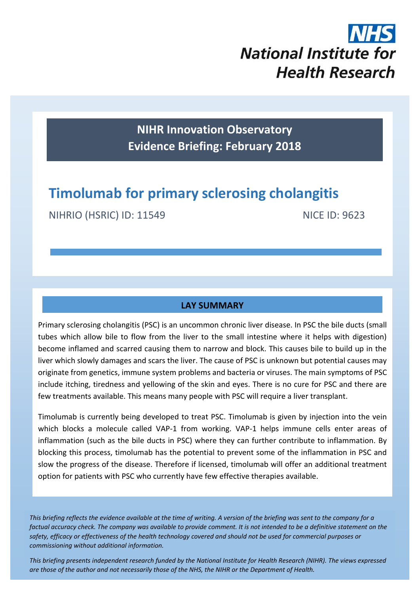

**NIHR Innovation Observatory Evidence Briefing: February 2018**

# **Timolumab for primary sclerosing cholangitis**

NIHRIO (HSRIC) ID: 11549 NICE ID: 9623

## **LAY SUMMARY**

Primary sclerosing cholangitis (PSC) is an uncommon chronic liver disease. In PSC the bile ducts (small tubes which allow bile to flow from the liver to the small intestine where it helps with digestion) become inflamed and scarred causing them to narrow and block. This causes bile to build up in the liver which slowly damages and scars the liver. The cause of PSC is unknown but potential causes may originate from genetics, immune system problems and bacteria or viruses. The main symptoms of PSC include itching, tiredness and yellowing of the skin and eyes. There is no cure for PSC and there are few treatments available. This means many people with PSC will require a liver transplant.

Timolumab is currently being developed to treat PSC. Timolumab is given by injection into the vein which blocks a molecule called VAP-1 from working. VAP-1 helps immune cells enter areas of inflammation (such as the bile ducts in PSC) where they can further contribute to inflammation. By blocking this process, timolumab has the potential to prevent some of the inflammation in PSC and slow the progress of the disease. Therefore if licensed, timolumab will offer an additional treatment option for patients with PSC who currently have few effective therapies available.

*This briefing reflects the evidence available at the time of writing. A version of the briefing was sent to the company for a factual accuracy check. The company was available to provide comment. It is not intended to be a definitive statement on the safety, efficacy or effectiveness of the health technology covered and should not be used for commercial purposes or commissioning without additional information.*

1 *This briefing presents independent research funded by the National Institute for Health Research (NIHR). The views expressed are those of the author and not necessarily those of the NHS, the NIHR or the Department of Health.*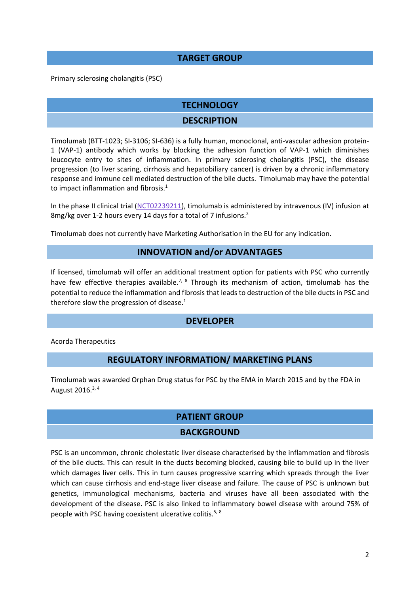#### **TARGET GROUP**

Primary sclerosing cholangitis (PSC)

# **TECHNOLOGY**

## **DESCRIPTION**

Timolumab (BTT-1023; SI-3106; SI-636) is a fully human, monoclonal, anti-vascular adhesion protein-1 (VAP-1) antibody which works by blocking the adhesion function of VAP-1 which diminishes leucocyte entry to sites of inflammation. In primary sclerosing cholangitis (PSC), the disease progression (to liver scaring, cirrhosis and hepatobiliary cancer) is driven by a chronic inflammatory response and immune cell mediated destruction of the bile ducts. Timolumab may have the potential to impact inflammation and fibrosis.<sup>1</sup>

In the phase II clinical trial [\(NCT02239211\)](https://clinicaltrials.gov/ct2/show/NCT02239211), timolumab is administered by intravenous (IV) infusion at 8mg/kg over 1-2 hours every 14 days for a total of 7 infusions.<sup>2</sup>

Timolumab does not currently have Marketing Authorisation in the EU for any indication.

#### <span id="page-1-3"></span><span id="page-1-0"></span>**INNOVATION and/or ADVANTAGES**

If licensed, timolumab will offer an additional treatment option for patients with PSC who currently have few effective therapies available.<sup>[7,](#page-2-0) [8](#page-2-1)</sup> Through its mechanism of action, timolumab has the potential to reduce the inflammation and fibrosis that leads to destruction of the bile ducts in PSC and therefore slow the progression of disease.<sup>[1](#page-1-0)</sup>

#### **DEVELOPER**

Acorda Therapeutics

#### <span id="page-1-1"></span>**REGULATORY INFORMATION/ MARKETING PLANS**

Timolumab was awarded Orphan Drug status for PSC by the EMA in March 2015 and by the FDA in August 2016. $3, 4$ 

#### **PATIENT GROUP**

#### <span id="page-1-2"></span>**BACKGROUND**

PSC is an uncommon, chronic cholestatic liver disease characterised by the inflammation and fibrosis of the bile ducts. This can result in the ducts becoming blocked, causing bile to build up in the liver which damages liver cells. This in turn causes progressive scarring which spreads through the liver which can cause cirrhosis and end-stage liver disease and failure. The cause of PSC is unknown but genetics, immunological mechanisms, bacteria and viruses have all been associated with the development of the disease. PSC is also linked to inflammatory bowel disease with around 75% of people with PSC having coexistent ulcerative colitis.5, [8](#page-2-1)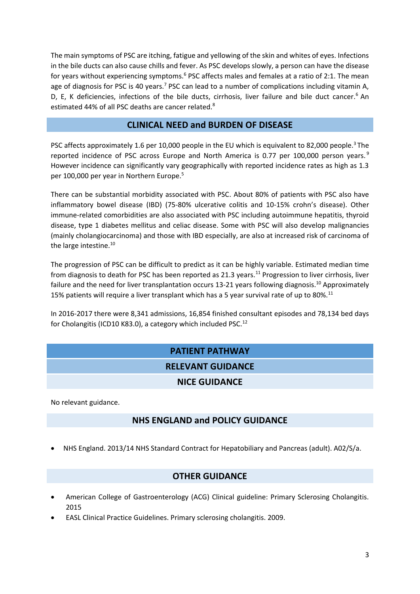The main symptoms of PSC are itching, fatigue and yellowing of the skin and whites of eyes. Infections in the bile ducts can also cause chills and fever. As PSC develops slowly, a person can have the disease for years without experiencing symptoms.<sup>6</sup> PSC affects males and females at a ratio of 2:1. The mean age of diagnosis for PSC is 40 years.<sup>7</sup> PSC can lead to a number of complications including vitamin A, D, E, K deficiencies, infections of the bile ducts, cirrhosis, liver failure and bile duct cancer.<sup>[6](#page-2-2)</sup> An estimated 44% of all PSC deaths are cancer related.<sup>8</sup>

## <span id="page-2-2"></span><span id="page-2-1"></span><span id="page-2-0"></span>**CLINICAL NEED and BURDEN OF DISEASE**

PSC affects approximately 1.6 per 10,000 people in the EU which is equivalent to 82,000 people.<sup>[3](#page-1-1)</sup> The reported incidence of PSC across Europe and North America is 0.77 per 100,000 person years.<sup>9</sup> However incidence can significantly vary geographically with reported incidence rates as high as 1.3 per 100,000 per year in Northern Europe.<sup>[5](#page-1-2)</sup>

There can be substantial morbidity associated with PSC. About 80% of patients with PSC also have inflammatory bowel disease (IBD) (75-80% ulcerative colitis and 10-15% crohn's disease). Other immune-related comorbidities are also associated with PSC including autoimmune hepatitis, thyroid disease, type 1 diabetes mellitus and celiac disease. Some with PSC will also develop malignancies (mainly cholangiocarcinoma) and those with IBD especially, are also at increased risk of carcinoma of the large intestine.<sup>10</sup>

<span id="page-2-3"></span>The progression of PSC can be difficult to predict as it can be highly variable. Estimated median time from diagnosis to death for PSC has been reported as 21.3 years.<sup>11</sup> Progression to liver cirrhosis, liver failure and the need for liver transplantation occurs 13-21 years following diagnosis.<sup>[10](#page-2-3)</sup> Approximately 15% patients will require a liver transplant which has a 5 year survival rate of up to 80%.<sup>[11](#page-2-4)</sup>

In 2016-2017 there were 8,341 admissions, 16,854 finished consultant episodes and 78,134 bed days for Cholangitis (ICD10 K83.0), a category which included PSC.<sup>12</sup>

# <span id="page-2-4"></span>**PATIENT PATHWAY RELEVANT GUIDANCE NICE GUIDANCE**

No relevant guidance.

# **NHS ENGLAND and POLICY GUIDANCE**

NHS England. 2013/14 NHS Standard Contract for Hepatobiliary and Pancreas (adult). A02/S/a.

# **OTHER GUIDANCE**

- American College of Gastroenterology (ACG) Clinical guideline: Primary Sclerosing Cholangitis. 2015
- EASL Clinical Practice Guidelines. Primary sclerosing cholangitis. 2009.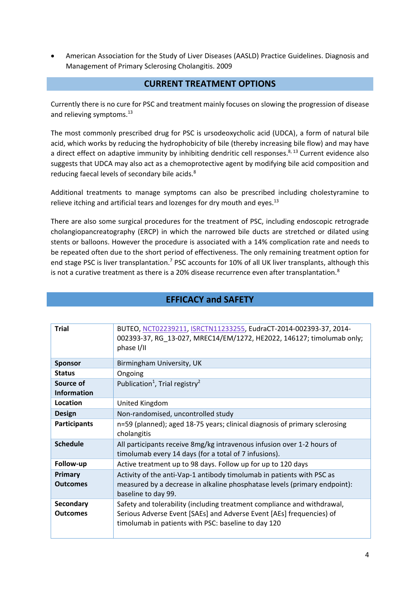American Association for the Study of Liver Diseases (AASLD) Practice Guidelines. Diagnosis and Management of Primary Sclerosing Cholangitis. 2009

#### <span id="page-3-0"></span>**CURRENT TREATMENT OPTIONS**

Currently there is no cure for PSC and treatment mainly focuses on slowing the progression of disease and relieving symptoms.<sup>[13](#page-3-0)</sup>

The most commonly prescribed drug for PSC is ursodeoxycholic acid (UDCA), a form of natural bile acid, which works by reducing the hydrophobicity of bile (thereby increasing bile flow) and may have a direct effect on adaptive immunity by inhibiting dendritic cell responses.<sup>[8,](#page-2-1) 13</sup> Current evidence also suggests that UDCA may also act as a chemoprotective agent by modifying bile acid composition and reducing faecal levels of secondary bile acids.<sup>[8](#page-2-1)</sup>

Additional treatments to manage symptoms can also be prescribed including cholestyramine to relieve itching and artificial tears and lozenges for dry mouth and eyes.<sup>[13](#page-3-0)</sup>

There are also some surgical procedures for the treatment of PSC, including endoscopic retrograde cholangiopancreatography (ERCP) in which the narrowed bile ducts are stretched or dilated using stents or balloons. However the procedure is associated with a 14% complication rate and needs to be repeated often due to the short period of effectiveness. The only remaining treatment option for end stage PSC is liver transplantation.<sup>[7](#page-2-0)</sup> PSC accounts for 10% of all UK liver transplants, although this is not a curative treatment as there is a 20% disease recurrence even after transplantation.<sup>[8](#page-2-1)</sup>

| <b>Trial</b>                    | BUTEO, NCT02239211, ISRCTN11233255, EudraCT-2014-002393-37, 2014-<br>002393-37, RG 13-027, MREC14/EM/1272, HE2022, 146127; timolumab only;<br>phase I/II                                               |  |  |
|---------------------------------|--------------------------------------------------------------------------------------------------------------------------------------------------------------------------------------------------------|--|--|
| <b>Sponsor</b>                  | Birmingham University, UK                                                                                                                                                                              |  |  |
| <b>Status</b>                   | Ongoing                                                                                                                                                                                                |  |  |
| Source of<br><b>Information</b> | Publication <sup>1</sup> , Trial registry <sup>2</sup>                                                                                                                                                 |  |  |
| Location                        | United Kingdom                                                                                                                                                                                         |  |  |
| <b>Design</b>                   | Non-randomised, uncontrolled study                                                                                                                                                                     |  |  |
| <b>Participants</b>             | n=59 (planned); aged 18-75 years; clinical diagnosis of primary sclerosing<br>cholangitis                                                                                                              |  |  |
| <b>Schedule</b>                 | All participants receive 8mg/kg intravenous infusion over 1-2 hours of<br>timolumab every 14 days (for a total of 7 infusions).                                                                        |  |  |
| Follow-up                       | Active treatment up to 98 days. Follow up for up to 120 days                                                                                                                                           |  |  |
| Primary<br><b>Outcomes</b>      | Activity of the anti-Vap-1 antibody timolumab in patients with PSC as<br>measured by a decrease in alkaline phosphatase levels (primary endpoint):<br>baseline to day 99.                              |  |  |
| Secondary<br><b>Outcomes</b>    | Safety and tolerability (including treatment compliance and withdrawal,<br>Serious Adverse Event [SAEs] and Adverse Event [AEs] frequencies) of<br>timolumab in patients with PSC: baseline to day 120 |  |  |

# **EFFICACY and SAFETY**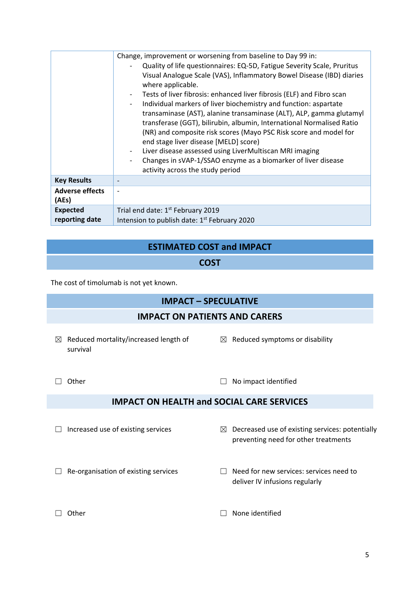|                        | Change, improvement or worsening from baseline to Day 99 in:                                                                                 |  |  |
|------------------------|----------------------------------------------------------------------------------------------------------------------------------------------|--|--|
|                        | Quality of life questionnaires: EQ-5D, Fatigue Severity Scale, Pruritus                                                                      |  |  |
|                        | Visual Analogue Scale (VAS), Inflammatory Bowel Disease (IBD) diaries<br>where applicable.                                                   |  |  |
|                        | Tests of liver fibrosis: enhanced liver fibrosis (ELF) and Fibro scan                                                                        |  |  |
|                        | Individual markers of liver biochemistry and function: aspartate                                                                             |  |  |
|                        | transaminase (AST), alanine transaminase (ALT), ALP, gamma glutamyl<br>transferase (GGT), bilirubin, albumin, International Normalised Ratio |  |  |
|                        | (NR) and composite risk scores (Mayo PSC Risk score and model for                                                                            |  |  |
|                        | end stage liver disease [MELD] score)                                                                                                        |  |  |
|                        | Liver disease assessed using LiverMultiscan MRI imaging                                                                                      |  |  |
|                        | Changes in sVAP-1/SSAO enzyme as a biomarker of liver disease                                                                                |  |  |
|                        | activity across the study period                                                                                                             |  |  |
| <b>Key Results</b>     |                                                                                                                                              |  |  |
| <b>Adverse effects</b> |                                                                                                                                              |  |  |
| (AEs)                  |                                                                                                                                              |  |  |
| <b>Expected</b>        | Trial end date: 1 <sup>st</sup> February 2019                                                                                                |  |  |
| reporting date         | Intension to publish date: 1 <sup>st</sup> February 2020                                                                                     |  |  |

# **ESTIMATED COST and IMPACT**

## **COST**

The cost of timolumab is not yet known.

# **IMPACT – SPECULATIVE**

# **IMPACT ON PATIENTS AND CARERS**

- $\boxtimes$  Reduced mortality/increased length of survival
- $\boxtimes$  Reduced symptoms or disability

deliver IV infusions regularly

- 
- □ Other □ No impact identified

## **IMPACT ON HEALTH and SOCIAL CARE SERVICES**

- 
- $\Box$  Increased use of existing services  $\boxtimes$  Decreased use of existing services: potentially preventing need for other treatments
- ☐ Re-organisation of existing services ☐ Need for new services: services need to
- 
- ☐ Other ☐ None identified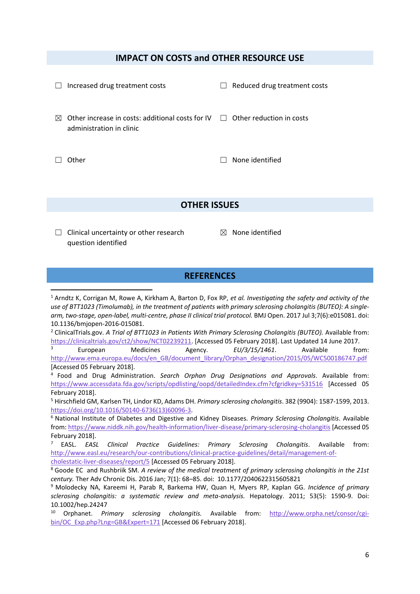#### **IMPACT ON COSTS and OTHER RESOURCE USE**

|   | Increased drug treatment costs                                                                                              | $\mathbf{I}$ | Reduced drug treatment costs |
|---|-----------------------------------------------------------------------------------------------------------------------------|--------------|------------------------------|
| M | Other increase in costs: additional costs for $\mathsf{IV} \quad \Box$ Other reduction in costs<br>administration in clinic |              |                              |
|   | ther                                                                                                                        |              | None identified              |

#### **OTHER ISSUES**

 $\Box$  Clinical uncertainty or other research question identified

**.** 

 $<sup>8</sup>$  None identified</sup>

#### **REFERENCES**

<sup>1</sup> Arndtz K, Corrigan M, Rowe A, Kirkham A, Barton D, Fox RP, *et al. Investigating the safety and activity of the use of BTT1023 (Timolumab), in the treatment of patients with primary sclerosing cholangitis (BUTEO): A singlearm, two-stage, open-label, multi-centre, phase II clinical trial protocol.* BMJ Open. 2017 Jul 3;7(6):e015081. doi: 10.1136/bmjopen-2016-015081.

<sup>2</sup> ClinicalTrials.gov. A Trial of BTT1023 in Patients With Primary Sclerosing Cholangitis (BUTEO). Available from: [https://clinicaltrials.gov/ct2/show/NCT02239211.](https://clinicaltrials.gov/ct2/show/NCT02239211) [Accessed 05 February 2018]. Last Updated 14 June 2017.

<sup>3</sup> European Medicines Agency. *EU/3/15/1461*. Available from: [http://www.ema.europa.eu/docs/en\\_GB/document\\_library/Orphan\\_designation/2015/05/WC500186747.pdf](http://www.ema.europa.eu/docs/en_GB/document_library/Orphan_designation/2015/05/WC500186747.pdf) [Accessed 05 February 2018].

4 Food and Drug Administration. *Search Orphan Drug Designations and Approvals*. Available from: <https://www.accessdata.fda.gov/scripts/opdlisting/oopd/detailedIndex.cfm?cfgridkey=531516> [Accessed 05 February 2018].

<sup>5</sup> Hirschfield GM, Karlsen TH, Lindor KD, Adams DH. *Primary sclerosing cholangitis*. 382 (9904): 1587-1599, 2013. [https://doi.org/10.1016/S0140-6736\(13\)60096-3.](https://doi.org/10.1016/S0140-6736(13)60096-3)

<sup>6</sup> National Institute of Diabetes and Digestive and Kidney Diseases. *Primary Sclerosing Cholangitis*. Available from[: https://www.niddk.nih.gov/health-information/liver-disease/primary-sclerosing-cholangitis](https://www.niddk.nih.gov/health-information/liver-disease/primary-sclerosing-cholangitis) [Accessed 05 February 2018].

<sup>7</sup> EASL. *EASL Clinical Practice Guidelines: Primary Sclerosing Cholangitis*. Available from: [http://www.easl.eu/research/our-contributions/clinical-practice-guidelines/detail/management-of](http://www.easl.eu/research/our-contributions/clinical-practice-guidelines/detail/management-of-cholestatic-liver-diseases/report/5)[cholestatic-liver-diseases/report/5](http://www.easl.eu/research/our-contributions/clinical-practice-guidelines/detail/management-of-cholestatic-liver-diseases/report/5) [Accessed 05 February 2018].

<sup>8</sup> Goode EC and Rushbriik SM. *A review of the medical treatment of primary sclerosing cholangitis in the 21st century.* Ther Adv Chronic Dis. 2016 Jan; 7(1): 68–85. doi: 10.1177/2040622315605821

<sup>9</sup> Molodecky NA, Kareemi H, Parab R, Barkema HW, Quan H, Myers RP, Kaplan GG. *Incidence of primary sclerosing cholangitis: a systematic review and meta-analysis.* Hepatology. 2011; 53(5): 1590-9. Doi: 10.1002/hep.24247<br><sup>10</sup> Ornhanet *Pr* 

<sup>10</sup> Orphanet. *Primary sclerosing cholangitis.* Available from: [http://www.orpha.net/consor/cgi](http://www.orpha.net/consor/cgi-bin/OC_Exp.php?Lng=GB&Expert=171)[bin/OC\\_Exp.php?Lng=GB&Expert=171](http://www.orpha.net/consor/cgi-bin/OC_Exp.php?Lng=GB&Expert=171) [Accessed 06 February 2018].